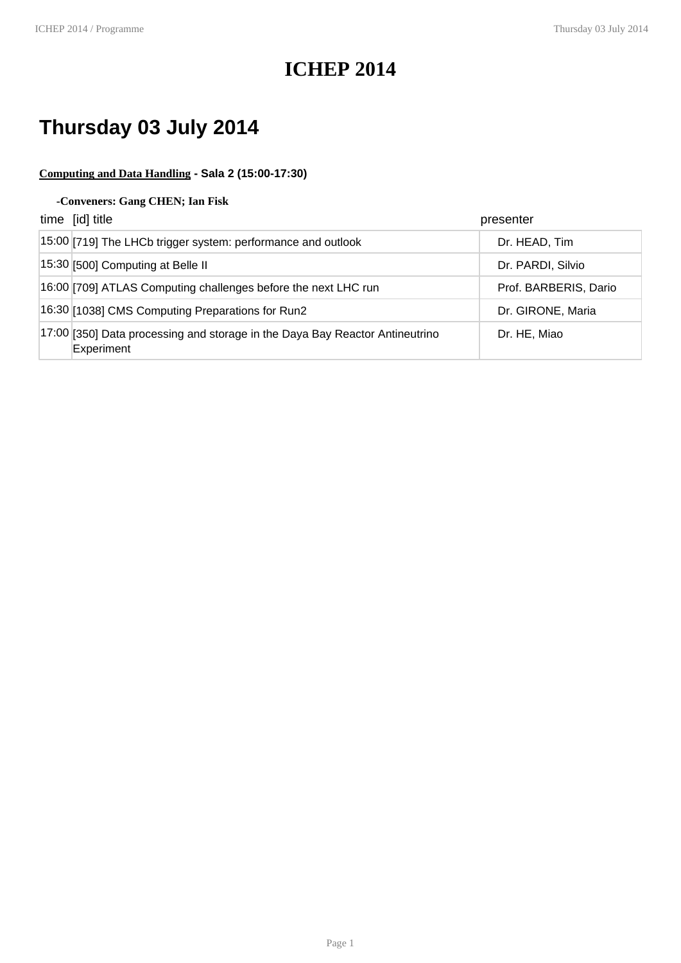### **ICHEP 2014**

# **Thursday 03 July 2014**

#### **Computing and Data Handling - Sala 2 (15:00-17:30)**

#### **-Conveners: Gang CHEN; Ian Fisk**

| time [id] title                                                                            | presenter             |
|--------------------------------------------------------------------------------------------|-----------------------|
| 15:00 [719] The LHCb trigger system: performance and outlook                               | Dr. HEAD, Tim         |
| 15:30 [500] Computing at Belle II                                                          | Dr. PARDI, Silvio     |
| 16:00 [709] ATLAS Computing challenges before the next LHC run                             | Prof. BARBERIS, Dario |
| 16:30 [1038] CMS Computing Preparations for Run2                                           | Dr. GIRONE, Maria     |
| 17:00 [350] Data processing and storage in the Daya Bay Reactor Antineutrino<br>Experiment | Dr. HE, Miao          |